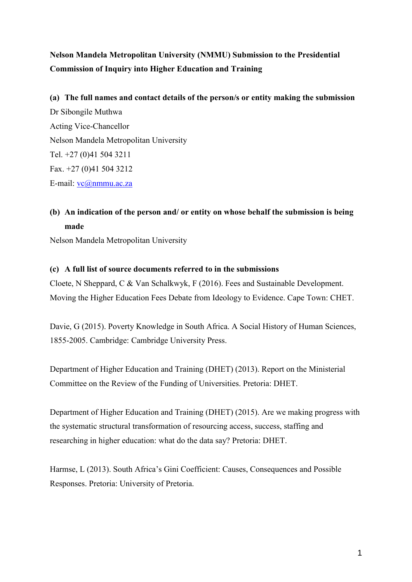# **Nelson Mandela Metropolitan University (NMMU) Submission to the Presidential Commission of Inquiry into Higher Education and Training**

# **(a) The full names and contact details of the person/s or entity making the submission** Dr Sibongile Muthwa Acting Vice-Chancellor Nelson Mandela Metropolitan University Tel. +27 (0)41 504 3211 Fax. +27 (0)41 504 3212 E-mail: [vc@nmmu.ac.za](mailto:vc@nmmu.ac.za)

### **(b) An indication of the person and/ or entity on whose behalf the submission is being made**

Nelson Mandela Metropolitan University

#### **(c) A full list of source documents referred to in the submissions**

Cloete, N Sheppard, C & Van Schalkwyk, F (2016). Fees and Sustainable Development. Moving the Higher Education Fees Debate from Ideology to Evidence. Cape Town: CHET.

Davie, G (2015). Poverty Knowledge in South Africa. A Social History of Human Sciences, 1855-2005. Cambridge: Cambridge University Press.

Department of Higher Education and Training (DHET) (2013). Report on the Ministerial Committee on the Review of the Funding of Universities. Pretoria: DHET.

Department of Higher Education and Training (DHET) (2015). Are we making progress with the systematic structural transformation of resourcing access, success, staffing and researching in higher education: what do the data say? Pretoria: DHET.

Harmse, L (2013). South Africa's Gini Coefficient: Causes, Consequences and Possible Responses. Pretoria: University of Pretoria.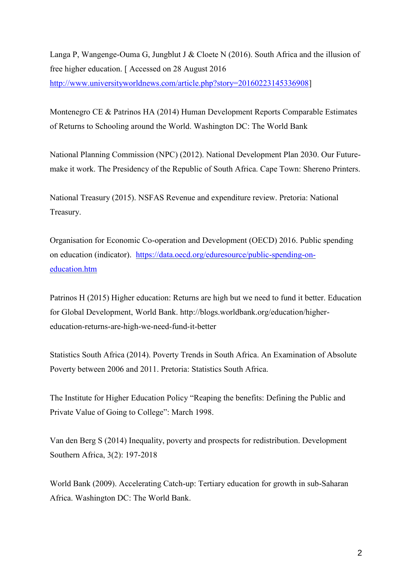Langa P, Wangenge-Ouma G, Jungblut J & Cloete N (2016). South Africa and the illusion of free higher education. [ Accessed on 28 August 2016 [http://www.universityworldnews.com/article.php?story=20160223145336908\]](http://www.universityworldnews.com/article.php?story=20160223145336908)

Montenegro CE & Patrinos HA (2014) Human Development Reports Comparable Estimates of Returns to Schooling around the World. Washington DC: The World Bank

National Planning Commission (NPC) (2012). National Development Plan 2030. Our Futuremake it work. The Presidency of the Republic of South Africa. Cape Town: Shereno Printers.

National Treasury (2015). NSFAS Revenue and expenditure review. Pretoria: National Treasury.

Organisation for Economic Co-operation and Development (OECD) 2016. Public spending on education (indicator). [https://data.oecd.org/eduresource/public-spending-on](https://data.oecd.org/eduresource/public-spending-on-education.htm)[education.htm](https://data.oecd.org/eduresource/public-spending-on-education.htm)

Patrinos H (2015) Higher education: Returns are high but we need to fund it better. Education for Global Development, World Bank. http://blogs.worldbank.org/education/highereducation-returns-are-high-we-need-fund-it-better

Statistics South Africa (2014). Poverty Trends in South Africa. An Examination of Absolute Poverty between 2006 and 2011. Pretoria: Statistics South Africa.

The Institute for Higher Education Policy "Reaping the benefits: Defining the Public and Private Value of Going to College": March 1998.

Van den Berg S (2014) Inequality, poverty and prospects for redistribution. Development Southern Africa, 3(2): 197-2018

World Bank (2009). Accelerating Catch-up: Tertiary education for growth in sub-Saharan Africa. Washington DC: The World Bank.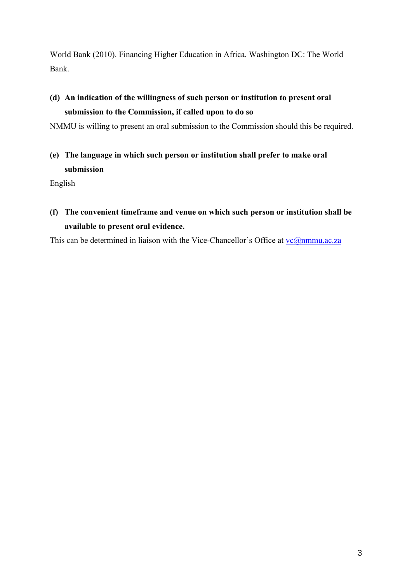World Bank (2010). Financing Higher Education in Africa. Washington DC: The World Bank.

## **(d) An indication of the willingness of such person or institution to present oral submission to the Commission, if called upon to do so**

NMMU is willing to present an oral submission to the Commission should this be required.

**(e) The language in which such person or institution shall prefer to make oral submission** 

English

**(f) The convenient timeframe and venue on which such person or institution shall be available to present oral evidence.** 

This can be determined in liaison with the Vice-Chancellor's Office at  $vc@nmmu.ac.za$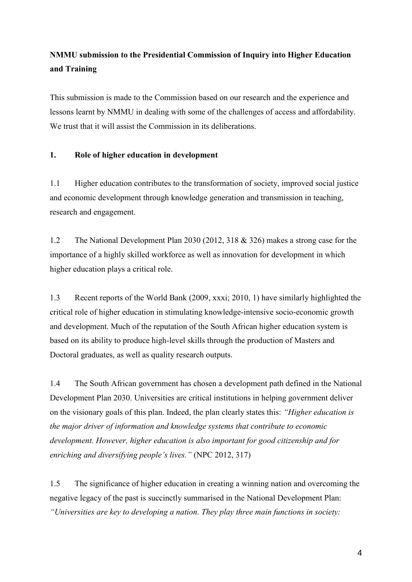### **NMMU submission to the Presidential Commission of Inquiry into Higher Education and Training**

This submission is made to the Commission based on our research and the experience and lessons learnt by NMMU in dealing with some of the challenges of access and affordability. We trust that it will assist the Commission in its deliberations.

### **1. Role of higher education in development**

1.1 Higher education contributes to the transformation of society, improved social justice and economic development through knowledge generation and transmission in teaching, research and engagement.

1.2 The National Development Plan 2030 (2012, 318 & 326) makes a strong case for the importance of a highly skilled workforce as well as innovation for development in which higher education plays a critical role.

1.3 Recent reports of the World Bank (2009, xxxi; 2010, 1) have similarly highlighted the critical role of higher education in stimulating knowledge-intensive socio-economic growth and development. Much of the reputation of the South African higher education system is based on its ability to produce high-level skills through the production of Masters and Doctoral graduates, as well as quality research outputs.

1.4 The South African government has chosen a development path defined in the National Development Plan 2030. Universities are critical institutions in helping government deliver on the visionary goals of this plan. Indeed, the plan clearly states this: *"Higher education is the major driver of information and knowledge systems that contribute to economic development. However, higher education is also important for good citizenship and for enriching and diversifying people's lives."* (NPC 2012, 317)

1.5 The significance of higher education in creating a winning nation and overcoming the negative legacy of the past is succinctly summarised in the National Development Plan: *"Universities are key to developing a nation. They play three main functions in society:*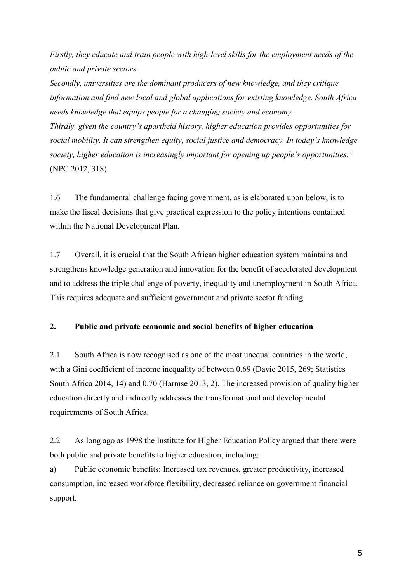*Firstly, they educate and train people with high-level skills for the employment needs of the public and private sectors.*

*Secondly, universities are the dominant producers of new knowledge, and they critique information and find new local and global applications for existing knowledge. South Africa needs knowledge that equips people for a changing society and economy.*

*Thirdly, given the country's apartheid history, higher education provides opportunities for social mobility. It can strengthen equity, social justice and democracy. In today's knowledge society, higher education is increasingly important for opening up people's opportunities."* (NPC 2012, 318).

1.6 The fundamental challenge facing government, as is elaborated upon below, is to make the fiscal decisions that give practical expression to the policy intentions contained within the National Development Plan.

1.7 Overall, it is crucial that the South African higher education system maintains and strengthens knowledge generation and innovation for the benefit of accelerated development and to address the triple challenge of poverty, inequality and unemployment in South Africa. This requires adequate and sufficient government and private sector funding.

#### **2. Public and private economic and social benefits of higher education**

2.1 South Africa is now recognised as one of the most unequal countries in the world, with a Gini coefficient of income inequality of between 0.69 (Davie 2015, 269; Statistics South Africa 2014, 14) and 0.70 (Harmse 2013, 2). The increased provision of quality higher education directly and indirectly addresses the transformational and developmental requirements of South Africa.

2.2 As long ago as 1998 the Institute for Higher Education Policy argued that there were both public and private benefits to higher education, including:

a) Public economic benefits: Increased tax revenues, greater productivity, increased consumption, increased workforce flexibility, decreased reliance on government financial support.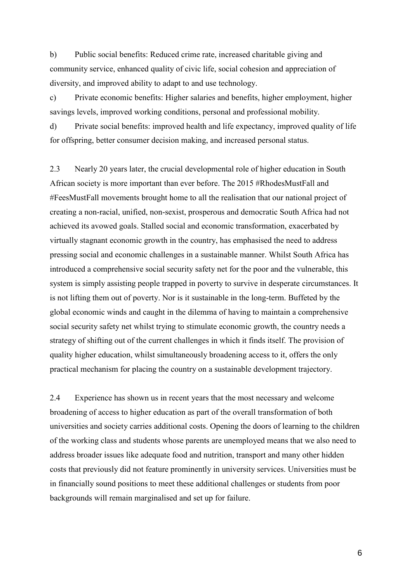b) Public social benefits: Reduced crime rate, increased charitable giving and community service, enhanced quality of civic life, social cohesion and appreciation of diversity, and improved ability to adapt to and use technology.

c) Private economic benefits: Higher salaries and benefits, higher employment, higher savings levels, improved working conditions, personal and professional mobility.

d) Private social benefits: improved health and life expectancy, improved quality of life for offspring, better consumer decision making, and increased personal status.

2.3 Nearly 20 years later, the crucial developmental role of higher education in South African society is more important than ever before. The 2015 #RhodesMustFall and #FeesMustFall movements brought home to all the realisation that our national project of creating a non-racial, unified, non-sexist, prosperous and democratic South Africa had not achieved its avowed goals. Stalled social and economic transformation, exacerbated by virtually stagnant economic growth in the country, has emphasised the need to address pressing social and economic challenges in a sustainable manner. Whilst South Africa has introduced a comprehensive social security safety net for the poor and the vulnerable, this system is simply assisting people trapped in poverty to survive in desperate circumstances. It is not lifting them out of poverty. Nor is it sustainable in the long-term. Buffeted by the global economic winds and caught in the dilemma of having to maintain a comprehensive social security safety net whilst trying to stimulate economic growth, the country needs a strategy of shifting out of the current challenges in which it finds itself. The provision of quality higher education, whilst simultaneously broadening access to it, offers the only practical mechanism for placing the country on a sustainable development trajectory.

2.4 Experience has shown us in recent years that the most necessary and welcome broadening of access to higher education as part of the overall transformation of both universities and society carries additional costs. Opening the doors of learning to the children of the working class and students whose parents are unemployed means that we also need to address broader issues like adequate food and nutrition, transport and many other hidden costs that previously did not feature prominently in university services. Universities must be in financially sound positions to meet these additional challenges or students from poor backgrounds will remain marginalised and set up for failure.

6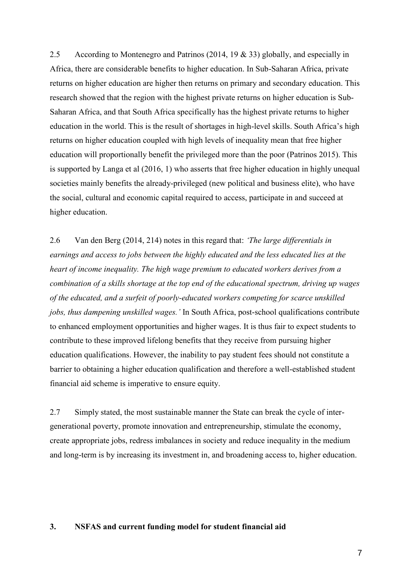2.5 According to Montenegro and Patrinos (2014, 19 & 33) globally, and especially in Africa, there are considerable benefits to higher education. In Sub-Saharan Africa, private returns on higher education are higher then returns on primary and secondary education. This research showed that the region with the highest private returns on higher education is Sub-Saharan Africa, and that South Africa specifically has the highest private returns to higher education in the world. This is the result of shortages in high-level skills. South Africa's high returns on higher education coupled with high levels of inequality mean that free higher education will proportionally benefit the privileged more than the poor (Patrinos 2015). This is supported by Langa et al (2016, 1) who asserts that free higher education in highly unequal societies mainly benefits the already-privileged (new political and business elite), who have the social, cultural and economic capital required to access, participate in and succeed at higher education.

2.6 Van den Berg (2014, 214) notes in this regard that: *'The large differentials in earnings and access to jobs between the highly educated and the less educated lies at the heart of income inequality. The high wage premium to educated workers derives from a combination of a skills shortage at the top end of the educational spectrum, driving up wages of the educated, and a surfeit of poorly-educated workers competing for scarce unskilled jobs, thus dampening unskilled wages.'* In South Africa, post-school qualifications contribute to enhanced employment opportunities and higher wages. It is thus fair to expect students to contribute to these improved lifelong benefits that they receive from pursuing higher education qualifications. However, the inability to pay student fees should not constitute a barrier to obtaining a higher education qualification and therefore a well-established student financial aid scheme is imperative to ensure equity.

2.7 Simply stated, the most sustainable manner the State can break the cycle of intergenerational poverty, promote innovation and entrepreneurship, stimulate the economy, create appropriate jobs, redress imbalances in society and reduce inequality in the medium and long-term is by increasing its investment in, and broadening access to, higher education.

#### **3. NSFAS and current funding model for student financial aid**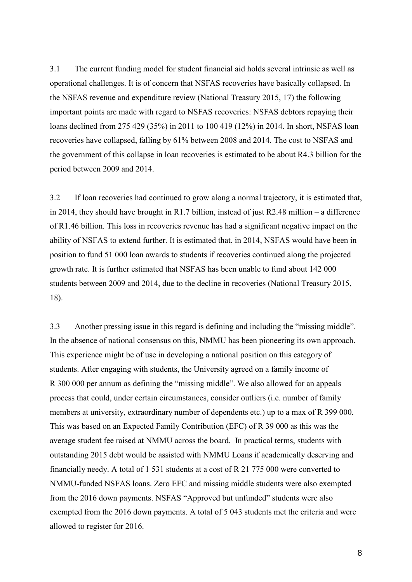3.1 The current funding model for student financial aid holds several intrinsic as well as operational challenges. It is of concern that NSFAS recoveries have basically collapsed. In the NSFAS revenue and expenditure review (National Treasury 2015, 17) the following important points are made with regard to NSFAS recoveries: NSFAS debtors repaying their loans declined from 275 429 (35%) in 2011 to 100 419 (12%) in 2014. In short, NSFAS loan recoveries have collapsed, falling by 61% between 2008 and 2014. The cost to NSFAS and the government of this collapse in loan recoveries is estimated to be about R4.3 billion for the period between 2009 and 2014.

3.2 If loan recoveries had continued to grow along a normal trajectory, it is estimated that, in 2014, they should have brought in R1.7 billion, instead of just R2.48 million – a difference of R1.46 billion. This loss in recoveries revenue has had a significant negative impact on the ability of NSFAS to extend further. It is estimated that, in 2014, NSFAS would have been in position to fund 51 000 loan awards to students if recoveries continued along the projected growth rate. It is further estimated that NSFAS has been unable to fund about 142 000 students between 2009 and 2014, due to the decline in recoveries (National Treasury 2015, 18).

3.3 Another pressing issue in this regard is defining and including the "missing middle". In the absence of national consensus on this, NMMU has been pioneering its own approach. This experience might be of use in developing a national position on this category of students. After engaging with students, the University agreed on a family income of R 300 000 per annum as defining the "missing middle". We also allowed for an appeals process that could, under certain circumstances, consider outliers (i.e. number of family members at university, extraordinary number of dependents etc.) up to a max of R 399 000. This was based on an Expected Family Contribution (EFC) of R 39 000 as this was the average student fee raised at NMMU across the board. In practical terms, students with outstanding 2015 debt would be assisted with NMMU Loans if academically deserving and financially needy. A total of 1 531 students at a cost of R 21 775 000 were converted to NMMU-funded NSFAS loans. Zero EFC and missing middle students were also exempted from the 2016 down payments. NSFAS "Approved but unfunded" students were also exempted from the 2016 down payments. A total of 5 043 students met the criteria and were allowed to register for 2016.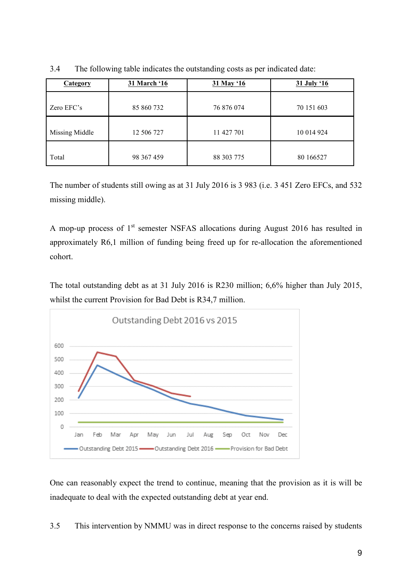| <b>Category</b> | 31 March '16 | 31 May '16 | 31 July '16 |
|-----------------|--------------|------------|-------------|
| Zero EFC's      | 85 860 732   | 76 876 074 | 70 151 603  |
| Missing Middle  | 12 506 727   | 11 427 701 | 10 014 924  |
| Total           | 98 367 459   | 88 303 775 | 80 16 6527  |

3.4 The following table indicates the outstanding costs as per indicated date:

The number of students still owing as at 31 July 2016 is 3 983 (i.e. 3 451 Zero EFCs, and 532 missing middle).

A mop-up process of 1<sup>st</sup> semester NSFAS allocations during August 2016 has resulted in approximately R6,1 million of funding being freed up for re-allocation the aforementioned cohort.

The total outstanding debt as at 31 July 2016 is R230 million; 6,6% higher than July 2015, whilst the current Provision for Bad Debt is R34,7 million.



One can reasonably expect the trend to continue, meaning that the provision as it is will be inadequate to deal with the expected outstanding debt at year end.

3.5 This intervention by NMMU was in direct response to the concerns raised by students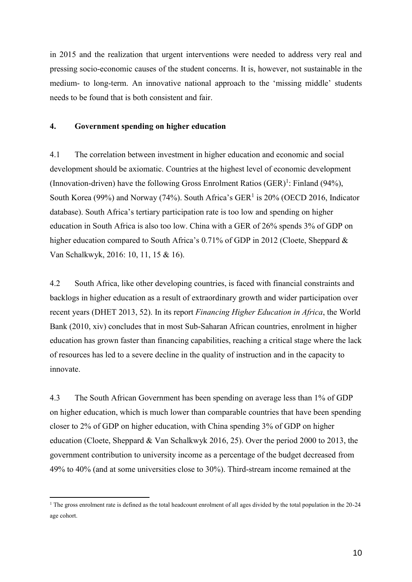in 2015 and the realization that urgent interventions were needed to address very real and pressing socio-economic causes of the student concerns. It is, however, not sustainable in the medium- to long-term. An innovative national approach to the 'missing middle' students needs to be found that is both consistent and fair.

#### **4. Government spending on higher education**

4.1 The correlation between investment in higher education and economic and social development should be axiomatic. Countries at the highest level of economic development (Innovation-driven) have the following Gross Enrolment Ratios  $(GER)^{1}$ : Finland (94%), South Korea (99%) and Norway (74%). South Africa's GER<sup>1</sup> is 20% (OECD 2016, Indicator database). South Africa's tertiary participation rate is too low and spending on higher education in South Africa is also too low. China with a GER of 26% spends 3% of GDP on higher education compared to South Africa's 0.71% of GDP in 2012 (Cloete, Sheppard & Van Schalkwyk, 2016: 10, 11, 15 & 16).

4.2 South Africa, like other developing countries, is faced with financial constraints and backlogs in higher education as a result of extraordinary growth and wider participation over recent years (DHET 2013, 52). In its report *Financing Higher Education in Africa*, the World Bank (2010, xiv) concludes that in most Sub-Saharan African countries, enrolment in higher education has grown faster than financing capabilities, reaching a critical stage where the lack of resources has led to a severe decline in the quality of instruction and in the capacity to innovate.

4.3 The South African Government has been spending on average less than 1% of GDP on higher education, which is much lower than comparable countries that have been spending closer to 2% of GDP on higher education, with China spending 3% of GDP on higher education (Cloete, Sheppard & Van Schalkwyk 2016, 25). Over the period 2000 to 2013, the government contribution to university income as a percentage of the budget decreased from 49% to 40% (and at some universities close to 30%). Third-stream income remained at the

1

<sup>&</sup>lt;sup>1</sup> The gross enrolment rate is defined as the total headcount enrolment of all ages divided by the total population in the 20-24 age cohort.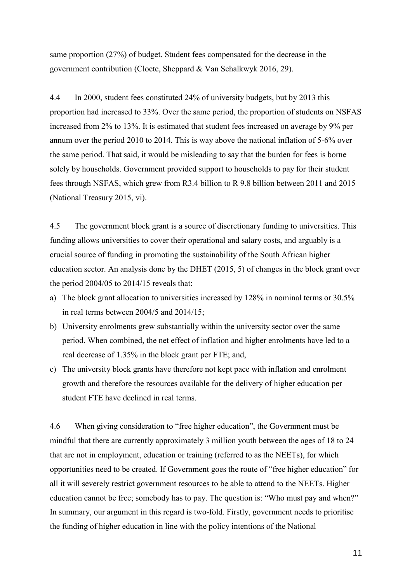same proportion (27%) of budget. Student fees compensated for the decrease in the government contribution (Cloete, Sheppard & Van Schalkwyk 2016, 29).

4.4 In 2000, student fees constituted 24% of university budgets, but by 2013 this proportion had increased to 33%. Over the same period, the proportion of students on NSFAS increased from 2% to 13%. It is estimated that student fees increased on average by 9% per annum over the period 2010 to 2014. This is way above the national inflation of 5-6% over the same period. That said, it would be misleading to say that the burden for fees is borne solely by households. Government provided support to households to pay for their student fees through NSFAS, which grew from R3.4 billion to R 9.8 billion between 2011 and 2015 (National Treasury 2015, vi).

4.5 The government block grant is a source of discretionary funding to universities. This funding allows universities to cover their operational and salary costs, and arguably is a crucial source of funding in promoting the sustainability of the South African higher education sector. An analysis done by the DHET (2015, 5) of changes in the block grant over the period 2004/05 to 2014/15 reveals that:

- a) The block grant allocation to universities increased by 128% in nominal terms or 30.5% in real terms between 2004/5 and 2014/15;
- b) University enrolments grew substantially within the university sector over the same period. When combined, the net effect of inflation and higher enrolments have led to a real decrease of 1.35% in the block grant per FTE; and,
- c) The university block grants have therefore not kept pace with inflation and enrolment growth and therefore the resources available for the delivery of higher education per student FTE have declined in real terms.

4.6 When giving consideration to "free higher education", the Government must be mindful that there are currently approximately 3 million youth between the ages of 18 to 24 that are not in employment, education or training (referred to as the NEETs), for which opportunities need to be created. If Government goes the route of "free higher education" for all it will severely restrict government resources to be able to attend to the NEETs. Higher education cannot be free; somebody has to pay. The question is: "Who must pay and when?" In summary, our argument in this regard is two-fold. Firstly, government needs to prioritise the funding of higher education in line with the policy intentions of the National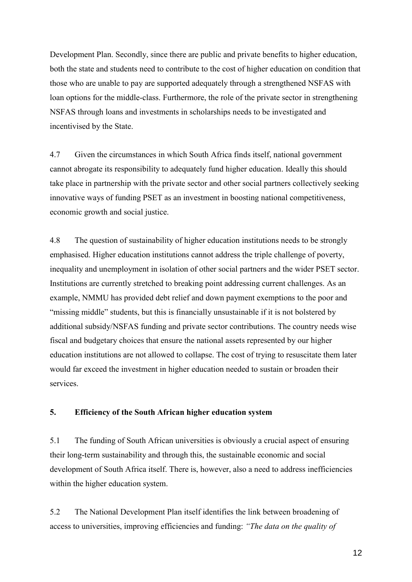Development Plan. Secondly, since there are public and private benefits to higher education, both the state and students need to contribute to the cost of higher education on condition that those who are unable to pay are supported adequately through a strengthened NSFAS with loan options for the middle-class. Furthermore, the role of the private sector in strengthening NSFAS through loans and investments in scholarships needs to be investigated and incentivised by the State.

4.7 Given the circumstances in which South Africa finds itself, national government cannot abrogate its responsibility to adequately fund higher education. Ideally this should take place in partnership with the private sector and other social partners collectively seeking innovative ways of funding PSET as an investment in boosting national competitiveness, economic growth and social justice.

4.8 The question of sustainability of higher education institutions needs to be strongly emphasised. Higher education institutions cannot address the triple challenge of poverty, inequality and unemployment in isolation of other social partners and the wider PSET sector. Institutions are currently stretched to breaking point addressing current challenges. As an example, NMMU has provided debt relief and down payment exemptions to the poor and "missing middle" students, but this is financially unsustainable if it is not bolstered by additional subsidy/NSFAS funding and private sector contributions. The country needs wise fiscal and budgetary choices that ensure the national assets represented by our higher education institutions are not allowed to collapse. The cost of trying to resuscitate them later would far exceed the investment in higher education needed to sustain or broaden their services.

### **5. Efficiency of the South African higher education system**

5.1 The funding of South African universities is obviously a crucial aspect of ensuring their long-term sustainability and through this, the sustainable economic and social development of South Africa itself. There is, however, also a need to address inefficiencies within the higher education system.

5.2 The National Development Plan itself identifies the link between broadening of access to universities, improving efficiencies and funding: *"The data on the quality of*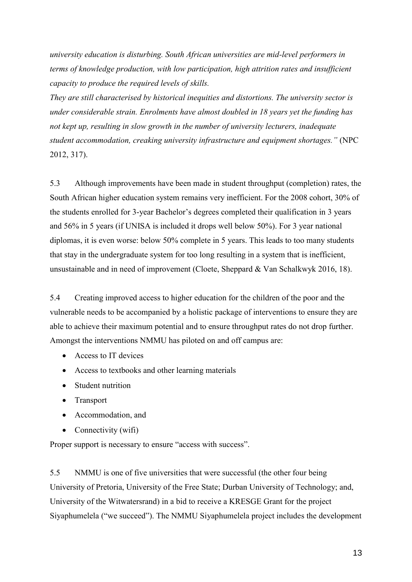*university education is disturbing. South African universities are mid-level performers in terms of knowledge production, with low participation, high attrition rates and insufficient capacity to produce the required levels of skills.*

*They are still characterised by historical inequities and distortions. The university sector is under considerable strain. Enrolments have almost doubled in 18 years yet the funding has not kept up, resulting in slow growth in the number of university lecturers, inadequate student accommodation, creaking university infrastructure and equipment shortages."* (NPC 2012, 317).

5.3 Although improvements have been made in student throughput (completion) rates, the South African higher education system remains very inefficient. For the 2008 cohort, 30% of the students enrolled for 3-year Bachelor's degrees completed their qualification in 3 years and 56% in 5 years (if UNISA is included it drops well below 50%). For 3 year national diplomas, it is even worse: below 50% complete in 5 years. This leads to too many students that stay in the undergraduate system for too long resulting in a system that is inefficient, unsustainable and in need of improvement (Cloete, Sheppard & Van Schalkwyk 2016, 18).

5.4 Creating improved access to higher education for the children of the poor and the vulnerable needs to be accompanied by a holistic package of interventions to ensure they are able to achieve their maximum potential and to ensure throughput rates do not drop further. Amongst the interventions NMMU has piloted on and off campus are:

- Access to IT devices
- Access to textbooks and other learning materials
- Student nutrition
- Transport
- Accommodation, and
- Connectivity (wifi)

Proper support is necessary to ensure "access with success".

5.5 NMMU is one of five universities that were successful (the other four being University of Pretoria, University of the Free State; Durban University of Technology; and, University of the Witwatersrand) in a bid to receive a KRESGE Grant for the project Siyaphumelela ("we succeed"). The NMMU Siyaphumelela project includes the development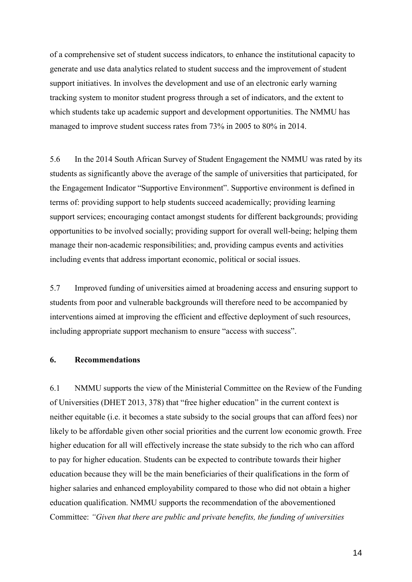of a comprehensive set of student success indicators, to enhance the institutional capacity to generate and use data analytics related to student success and the improvement of student support initiatives. In involves the development and use of an electronic early warning tracking system to monitor student progress through a set of indicators, and the extent to which students take up academic support and development opportunities. The NMMU has managed to improve student success rates from 73% in 2005 to 80% in 2014.

5.6 In the 2014 South African Survey of Student Engagement the NMMU was rated by its students as significantly above the average of the sample of universities that participated, for the Engagement Indicator "Supportive Environment". Supportive environment is defined in terms of: providing support to help students succeed academically; providing learning support services; encouraging contact amongst students for different backgrounds; providing opportunities to be involved socially; providing support for overall well-being; helping them manage their non-academic responsibilities; and, providing campus events and activities including events that address important economic, political or social issues.

5.7 Improved funding of universities aimed at broadening access and ensuring support to students from poor and vulnerable backgrounds will therefore need to be accompanied by interventions aimed at improving the efficient and effective deployment of such resources, including appropriate support mechanism to ensure "access with success".

#### **6. Recommendations**

6.1 NMMU supports the view of the Ministerial Committee on the Review of the Funding of Universities (DHET 2013, 378) that "free higher education" in the current context is neither equitable (i.e. it becomes a state subsidy to the social groups that can afford fees) nor likely to be affordable given other social priorities and the current low economic growth. Free higher education for all will effectively increase the state subsidy to the rich who can afford to pay for higher education. Students can be expected to contribute towards their higher education because they will be the main beneficiaries of their qualifications in the form of higher salaries and enhanced employability compared to those who did not obtain a higher education qualification. NMMU supports the recommendation of the abovementioned Committee: *"Given that there are public and private benefits, the funding of universities*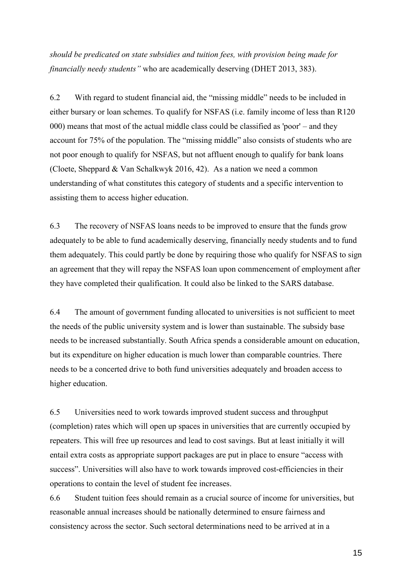*should be predicated on state subsidies and tuition fees, with provision being made for financially needy students"* who are academically deserving (DHET 2013, 383).

6.2 With regard to student financial aid, the "missing middle" needs to be included in either bursary or loan schemes. To qualify for NSFAS (i.e. family income of less than R120 000) means that most of the actual middle class could be classified as 'poor' – and they account for 75% of the population. The "missing middle" also consists of students who are not poor enough to qualify for NSFAS, but not affluent enough to qualify for bank loans (Cloete, Sheppard & Van Schalkwyk 2016, 42). As a nation we need a common understanding of what constitutes this category of students and a specific intervention to assisting them to access higher education.

6.3 The recovery of NSFAS loans needs to be improved to ensure that the funds grow adequately to be able to fund academically deserving, financially needy students and to fund them adequately. This could partly be done by requiring those who qualify for NSFAS to sign an agreement that they will repay the NSFAS loan upon commencement of employment after they have completed their qualification. It could also be linked to the SARS database.

6.4 The amount of government funding allocated to universities is not sufficient to meet the needs of the public university system and is lower than sustainable. The subsidy base needs to be increased substantially. South Africa spends a considerable amount on education, but its expenditure on higher education is much lower than comparable countries. There needs to be a concerted drive to both fund universities adequately and broaden access to higher education.

6.5 Universities need to work towards improved student success and throughput (completion) rates which will open up spaces in universities that are currently occupied by repeaters. This will free up resources and lead to cost savings. But at least initially it will entail extra costs as appropriate support packages are put in place to ensure "access with success". Universities will also have to work towards improved cost-efficiencies in their operations to contain the level of student fee increases.

6.6 Student tuition fees should remain as a crucial source of income for universities, but reasonable annual increases should be nationally determined to ensure fairness and consistency across the sector. Such sectoral determinations need to be arrived at in a

15